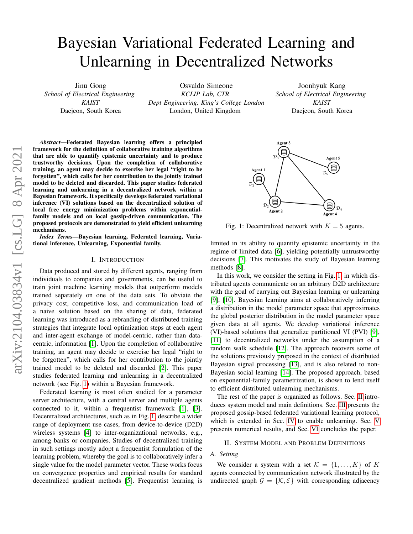# Bayesian Variational Federated Learning and Unlearning in Decentralized Networks

Jinu Gong *School of Electrical Engineering KAIST* Daejeon, South Korea

Osvaldo Simeone *KCLIP Lab, CTR Dept Engineering, King's College London* London, United Kingdom

Joonhyuk Kang *School of Electrical Engineering KAIST* Daejeon, South Korea

*Abstract*—Federated Bayesian learning offers a principled framework for the definition of collaborative training algorithms that are able to quantify epistemic uncertainty and to produce trustworthy decisions. Upon the completion of collaborative training, an agent may decide to exercise her legal "right to be forgotten", which calls for her contribution to the jointly trained model to be deleted and discarded. This paper studies federated learning and unlearning in a decentralized network within a Bayesian framework. It specifically develops federated variational inference (VI) solutions based on the decentralized solution of local free energy minimization problems within exponentialfamily models and on local gossip-driven communication. The proposed protocols are demonstrated to yield efficient unlearning mechanisms.

*Index Terms*—Bayesian learning, Federated learning, Variational inference, Unlearning, Exponential family.

## I. INTRODUCTION

Data produced and stored by different agents, ranging from individuals to companies and governments, can be useful to train joint machine learning models that outperform models trained separately on one of the data sets. To obviate the privacy cost, competitive loss, and communication load of a naive solution based on the sharing of data, federated learning was introduced as a rebranding of distributed training strategies that integrate local optimization steps at each agent and inter-agent exchange of model-centric, rather than datacentric, information [\[1\]](#page-4-0). Upon the completion of collaborative training, an agent may decide to exercise her legal "right to be forgotten", which calls for her contribution to the jointly trained model to be deleted and discarded [\[2\]](#page-4-1). This paper studies federated learning and unlearning in a decentralized network (see Fig. [1\)](#page-0-0) within a Bayesian framework.

Federated learning is most often studied for a parameter server architecture, with a central server and multiple agents connected to it, within a frequentist framework [\[1\]](#page-4-0), [\[3\]](#page-4-2). Decentralized architectures, such as in Fig. [1,](#page-0-0) describe a wider range of deployment use cases, from device-to-device (D2D) wireless systems [\[4\]](#page-4-3) to inter-organizational networks, e.g., among banks or companies. Studies of decentralized training in such settings mostly adopt a frequentist formulation of the learning problem, whereby the goal is to collaboratively infer a single value for the model parameter vector. These works focus on convergence properties and empirical results for standard decentralized gradient methods [\[5\]](#page-4-4). Frequentist learning is

<span id="page-0-0"></span>

Fig. 1: Decentralized network with  $K = 5$  agents.

limited in its ability to quantify epistemic uncertainty in the regime of limited data [\[6\]](#page-4-5), yielding potentially untrustworthy decisions [\[7\]](#page-4-6). This motivates the study of Bayesian learning methods [\[8\]](#page-4-7).

In this work, we consider the setting in Fig. [1,](#page-0-0) in which distributed agents communicate on an arbitrary D2D architecture with the goal of carrying out Bayesian learning or unlearning [\[9\]](#page-4-8), [\[10\]](#page-4-9). Bayesian learning aims at collaboratively inferring a distribution in the model parameter space that approximates the global posterior distribution in the model parameter space given data at all agents. We develop variational inference (VI)-based solutions that generalize partitioned VI (PVI) [\[9\]](#page-4-8), [\[11\]](#page-4-10) to decentralized networks under the assumption of a random walk schedule [\[12\]](#page-4-11). The approach recovers some of the solutions previously proposed in the context of distributed Bayesian signal processing [\[13\]](#page-4-12), and is also related to non-Bayesian social learning [\[14\]](#page-4-13). The proposed approach, based on exponential-family parametrization, is shown to lend itself to efficient distributed unlearning mechanisms.

The rest of the paper is organized as follows. Sec. [II](#page-0-1) introduces system model and main definitions. Sec. [III](#page-1-0) presents the proposed gossip-based federated variational learning protocol, which is extended in Sec. [IV](#page-3-0) to enable unlearning. Sec. [V](#page-3-1) presents numerical results, and Sec. [VI](#page-4-14) concludes the paper.

#### II. SYSTEM MODEL AND PROBLEM DEFINITIONS

## <span id="page-0-1"></span>*A. Setting*

We consider a system with a set  $\mathcal{K} = \{1, \ldots, K\}$  of K agents connected by communication network illustrated by the undirected graph  $\mathcal{G} = \{K, \mathcal{E}\}\$  with corresponding adjacency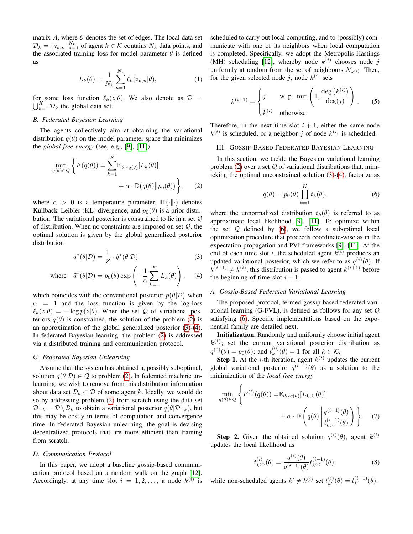matrix  $A$ , where  $\mathcal E$  denotes the set of edges. The local data set  $\mathcal{D}_k = \{z_{k,n}\}_{n=1}^{N_k}$  of agent  $k \in \mathcal{K}$  contains  $N_k$  data points, and the associated training loss for model parameter  $\theta$  is defined as

$$
L_k(\theta) = \frac{1}{N_k} \sum_{n=1}^{N_k} \ell_k(z_{k,n}|\theta),
$$
 (1)

for some loss function  $\ell_k(z|\theta)$ . We also denote as  $\mathcal{D}$  =  $\bigcup_{k=1}^K \mathcal{D}_k$  the global data set.

## *B. Federated Bayesian Learning*

The agents collectively aim at obtaining the variational distribution  $q(\theta)$  on the model parameter space that minimizes the *global free energy* (see, e.g., [\[9\]](#page-4-8), [\[11\]](#page-4-10))

$$
\min_{q(\theta)\in\mathcal{Q}}\left\{F(q(\theta)) = \sum_{k=1}^{K} \mathbb{E}_{\theta\sim q(\theta)}[L_k(\theta)] + \alpha \cdot \mathbb{D}(q(\theta)||p_0(\theta))\right\},\qquad(2)
$$

where  $\alpha > 0$  is a temperature parameter,  $\mathbb{D}(\cdot \| \cdot)$  denotes Kullback–Leibler (KL) divergence, and  $p_0(\theta)$  is a prior distribution. The variational posterior is constrained to lie in a set Q of distribution. When no constraints are imposed on set  $Q$ , the optimal solution is given by the global generalized posterior distribution

$$
q^*(\theta|\mathcal{D}) = \frac{1}{Z} \cdot \tilde{q}^*(\theta|\mathcal{D})
$$
 (3)

where 
$$
\tilde{q}^*(\theta|\mathcal{D}) = p_0(\theta) \exp\left(-\frac{1}{\alpha} \sum_{k=1}^K L_k(\theta)\right)
$$
, (4)

which coincides with the conventional posterior  $p(\theta|\mathcal{D})$  when  $\alpha$  = 1 and the loss function is given by the log-loss  $\ell_k(z|\theta) = -\log p(z|\theta)$ . When the set Q of variational posteriors  $q(\theta)$  is constrained, the solution of the problem [\(2\)](#page-1-1) is an approximation of the global generalized posterior [\(3\)](#page-1-2)-[\(4\)](#page-1-3). In federated Bayesian learning, the problem [\(2\)](#page-1-1) is addressed via a distributed training and communication protocol.

## *C. Federated Bayesian Unlearning*

Assume that the system has obtained a, possibly suboptimal, solution  $q(\theta|\mathcal{D}) \in \mathcal{Q}$  to problem [\(2\)](#page-1-1). In federated machine unlearning, we wish to remove from this distribution information about data set  $\mathcal{D}_k \subset \mathcal{D}$  of some agent k. Ideally, we would do so by addressing problem [\(2\)](#page-1-1) from scratch using the data set  $\mathcal{D}_{-k} = \mathcal{D} \setminus \mathcal{D}_k$  to obtain a variational posterior  $q(\theta | \mathcal{D}_{-k})$ , but this may be costly in terms of computation and convergence time. In federated Bayesian unlearning, the goal is devising decentralized protocols that are more efficient than training from scratch.

# *D. Communication Protocol*

In this paper, we adopt a baseline gossip-based communication protocol based on a random walk on the graph [\[12\]](#page-4-11). Accordingly, at any time slot  $i = 1, 2, \ldots$ , a node  $k^{(i)}$  is scheduled to carry out local computing, and to (possibly) communicate with one of its neighbors when local computation is completed. Specifically, we adopt the Metropolis-Hastings (MH) scheduling [\[12\]](#page-4-11), whereby node  $k^{(i)}$  chooses node j uniformly at random from the set of neighbours  $\mathcal{N}_{k^{(i)}}$ . Then, for the given selected node j, node  $k^{(i)}$  sets

<span id="page-1-7"></span>
$$
k^{(i+1)} = \begin{cases} j & \text{w. p. min} \left( 1, \frac{\deg(k^{(i)})}{\deg(j)} \right) \\ k^{(i)} & \text{otherwise} \end{cases}
$$
 (5)

Therefore, in the next time slot  $i + 1$ , either the same node  $k^{(i)}$  is scheduled, or a neighbor j of node  $k^{(i)}$  is scheduled.

#### <span id="page-1-0"></span>III. GOSSIP-BASED FEDERATED BAYESIAN LEARNING

<span id="page-1-1"></span>In this section, we tackle the Bayesian variational learning problem [\(2\)](#page-1-1) over a set  $Q$  of variational distributions that, mimicking the optimal unconstrained solution [\(3\)](#page-1-2)-[\(4\)](#page-1-3), factorize as

<span id="page-1-4"></span>
$$
q(\theta) = p_0(\theta) \prod_{k=1}^{K} t_k(\theta),
$$
\n(6)

<span id="page-1-2"></span>where the unnormalized distribution  $t_k(\theta)$  is referred to as approximate local likelihood [\[9\]](#page-4-8), [\[11\]](#page-4-10). To optimize within the set  $Q$  defined by  $(6)$ , we follow a suboptimal local optimization procedure that proceeds coordinate-wise as in the expectation propagation and PVI frameworks [\[9\]](#page-4-8), [\[11\]](#page-4-10). At the end of each time slot i, the scheduled agent  $k^{(i)}$  produces an updated variational posterior, which we refer to as  $q^{(i)}(\theta)$ . If  $k^{(i+1)} \neq k^{(i)}$ , this distribution is passed to agent  $k^{(i+1)}$  before the beginning of time slot  $i + 1$ .

#### <span id="page-1-3"></span>*A. Gossip-Based Federated Variational Learning*

The proposed protocol, termed gossip-based federated variational learning (G-FVL), is defined as follows for any set  $Q$ satisfying [\(6\)](#page-1-4). Specific implementations based on the exponential family are detailed next.

Initialization. Randomly and uniformly choose initial agent  $k^{(1)}$ ; set the current variational posterior distribution as  $q^{(0)}(\theta) = p_0(\theta)$ ; and  $t_k^{(0)}$  $k^{(0)}(\theta) = 1$  for all  $k \in \mathcal{K}$ .

**Step 1.** At the *i*-th iteration, agent  $k^{(i)}$  updates the current global variational posterior  $q^{(i-1)}(\theta)$  as a solution to the minimization of the *local free energy*

$$
\min_{q(\theta)\in\mathcal{Q}}\left\{F^{(i)}(q(\theta)) = \mathbb{E}_{\theta\sim q(\theta)}[L_{k^{(i)}}(\theta)] + \alpha \cdot \mathbb{D}\left(q(\theta)\middle\|\frac{q^{(i-1)}(\theta)}{t_{k^{(i)}}^{(i-1)}(\theta)}\right)\right\}.
$$
 (7)

**Step 2.** Given the obtained solution  $q^{(i)}(\theta)$ , agent  $k^{(i)}$ updates the local likelihood as

<span id="page-1-6"></span><span id="page-1-5"></span>
$$
t_{k^{(i)}}^{(i)}(\theta) = \frac{q^{(i)}(\theta)}{q^{(i-1)}(\theta)} t_{k^{(i)}}^{(i-1)}(\theta),
$$
\n(8)

while non-scheduled agents  $k' \neq k^{(i)}$  set  $t_{k'}^{(i)}(\theta) = t_{k'}^{(i-1)}(\theta)$ .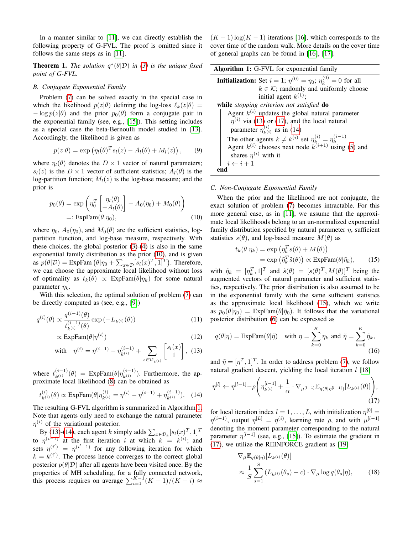In a manner similar to [\[11\]](#page-4-10), we can directly establish the following property of G-FVL. The proof is omitted since it follows the same steps as in [\[11\]](#page-4-10).

**Theorem 1.** The solution  $q^*(\theta|\mathcal{D})$  in [\(3\)](#page-1-2) is the unique fixed *point of G-FVL.*

#### <span id="page-2-6"></span>*B. Conjugate Exponential Family*

Problem [\(7\)](#page-1-5) can be solved exactly in the special case in which the likelihood  $p(z|\theta)$  defining the log-loss  $\ell_k(z|\theta) =$  $-\log p(z|\theta)$  and the prior  $p_0(\theta)$  form a conjugate pair in the exponential family (see, e.g., [\[15\]](#page-4-15)). This setting includes as a special case the beta-Bernoulli model studied in [\[13\]](#page-4-12). Accordingly, the likelihood is given as

$$
p(z|\theta) = \exp(\eta_l(\theta)^T s_l(z) - A_l(\theta) + M_l(z)), \qquad (9)
$$

where  $\eta_l(\theta)$  denotes the  $D \times 1$  vector of natural parameters;  $s_l(z)$  is the  $D \times 1$  vector of sufficient statistics;  $A_l(\theta)$  is the log-partition function;  $M_l(z)$  is the log-base measure; and the prior is

$$
p_0(\theta) = \exp\left(\eta_0^T \begin{bmatrix} \eta_l(\theta) \\ -A_l(\theta) \end{bmatrix} - A_0(\eta_0) + M_0(\theta) \right)
$$
  
=:  $\exp\text{Fam}(\theta|\eta_0),$  (10)

where  $\eta_0$ ,  $A_0(\eta_0)$ , and  $M_0(\theta)$  are the sufficient statistics, logpartition function, and log-base measure, respectively. With these choices, the global posterior [\(3\)](#page-1-2)-[\(4\)](#page-1-3) is also in the same exponential family distribution as the prior [\(10\)](#page-2-0), and is given as  $p(\theta|\mathcal{D}) = \text{ExpFam}(\theta|\eta_0 + \sum_{x \in \mathcal{D}} [s_l(x)^T, 1]^T)$ . Therefore, we can choose the approximate local likelihood without loss of optimality as  $t_k(\theta) \propto \text{ExpFam}(\theta|\eta_k)$  for some natural parameter  $\eta_k$ .

With this selection, the optimal solution of problem [\(7\)](#page-1-5) can be directly computed as (see, e.g., [\[9\]](#page-4-8))

$$
q^{(i)}(\theta) \propto \frac{q^{(i-1)}(\theta)}{t_{k^{(i)}}^{(i-1)}(\theta)} \exp(-L_{k^{(i)}}(\theta))
$$
\n(11)

$$
\propto \text{ExpFam}(\theta | \eta^{(i)}) \tag{12}
$$

with 
$$
\eta^{(i)} = \eta^{(i-1)} - \eta_{k^{(i)}}^{(i-1)} + \sum_{x \in \mathcal{D}_{k^{(i)}}} \begin{bmatrix} s_l(x) \\ 1 \end{bmatrix}
$$
, (13)

where  $t_{k(i)}^{(i-1)}(\theta) = \text{ExpFam}(\theta | \eta_{k(i)}^{(i-1)})$ . Furthermore, the approximate local likelihood [\(8\)](#page-1-6) can be obtained as

$$
t_{k^{(i)}}^{(i)}(\theta) \propto \text{ExpFam}(\theta | \eta_{k^{(i)}}^{(i)} = \eta^{(i)} - \eta^{(i-1)} + \eta_{k^{(i)}}^{(i-1)}). \tag{14}
$$

The resulting G-FVL algorithm is summarized in Algorithm [1.](#page-2-1) Note that agents only need to exchange the natural parameter  $\eta^{(i)}$  of the variational posterior.

By [\(13\)](#page-2-2)-[\(14\)](#page-2-3), each agent k simply adds  $\sum_{x \in \mathcal{D}_k} [s_l(x)]^T$ , 1]<sup>T</sup> to  $\eta^{(i-1)}$  at the first iteration i at which  $k = k^{(i)}$ ; and sets  $\eta^{(i')} = \eta^{(i'-1)}$  for any following iteration for which  $k = k^{(i')}$ . The process hence converges to the correct global posterior  $p(\theta|\mathcal{D})$  after all agents have been visited once. By the properties of MH scheduling, for a fully connected network, this process requires on average  $\sum_{i=1}^{K-1} (K-1)/(K-i) \approx$ 

 $(K-1)\log(K-1)$  iterations [\[16\]](#page-4-16), which corresponds to the cover time of the random walk. More details on the cover time of general graphs can be found in [\[16\]](#page-4-16), [\[17\]](#page-4-17).

<span id="page-2-1"></span>

| <b>Algorithm 1:</b> G-FVL for exponential family                                        |
|-----------------------------------------------------------------------------------------|
| <b>Initialization:</b> Set $i = 1$ ; $\eta^{(0)} = \eta_0$ ; $\eta_k^{(0)} = 0$ for all |
| $k \in \mathcal{K}$ ; randomly and uniformly choose                                     |
| initial agent $k^{(1)}$ ;                                                               |
| while stopping criterion not satisfied do                                               |
| Agent $k^{(i)}$ updates the global natural parameter                                    |
| $\eta^{(i)}$ via (13) or (17), and the local natural                                    |
| parameter $\eta_{k(i)}^{(i)}$ as in (14)                                                |
| The other agents $k \neq k^{(i)}$ set $\eta_k^{(i)} = \eta_k^{(i-1)}$                   |
| Agent $k^{(i)}$ chooses next node $k^{(i+1)}$ using (5) and                             |
| shares $\eta^{(i)}$ with it                                                             |
| $i \leftarrow i + 1$                                                                    |
|                                                                                         |

### <span id="page-2-7"></span>*C. Non-Conjugate Exponential Family*

<span id="page-2-0"></span>When the prior and the likelihood are not conjugate, the exact solution of problem [\(7\)](#page-1-5) becomes intractable. For this more general case, as in [\[11\]](#page-4-10), we assume that the approximate local likelihoods belong to an un-normalized exponential family distribution specified by natural parameter  $\eta$ , sufficient statistics  $s(\theta)$ , and log-based measure  $M(\theta)$  as

<span id="page-2-5"></span>
$$
t_k(\theta|\eta_k) = \exp\left(\eta_k^T s(\theta) + M(\theta)\right)
$$
  
=  $\exp\left(\tilde{\eta}_k^T \tilde{s}(\theta)\right) \propto \exp\text{Fam}(\theta|\tilde{\eta}_k),$  (15)

with  $\tilde{\eta}_k = [\eta_k^T, 1]^T$  and  $\tilde{s}(\theta) = [s(\theta)^T, M(\theta)]^T$  being the augmented vectors of natural parameter and sufficient statistics, respectively. The prior distribution is also assumed to be in the exponential family with the same sufficient statistics as the approximate local likelihood [\(15\)](#page-2-5), which we write as  $p_0(\theta|\eta_0) = \text{ExpFam}(\theta|\tilde{\eta}_0)$ . It follows that the variational posterior distribution [\(6\)](#page-1-4) can be expressed as

$$
q(\theta|\eta) = \text{ExpFam}(\theta|\tilde{\eta})
$$
 with  $\eta = \sum_{k=0}^{K} \eta_k$  and  $\tilde{\eta} = \sum_{k=0}^{K} \tilde{\eta}_k$ , (16)

<span id="page-2-2"></span>and  $\tilde{\eta} = [\eta^T, 1]^T$ . In order to address problem [\(7\)](#page-1-5), we follow natural gradient descent, yielding the local iteration  $l$  [\[18\]](#page-4-18)

<span id="page-2-3"></span>
$$
\eta^{[l]} \leftarrow \eta^{[l-1]} - \rho \left( \eta_{k^{(i)}}^{[l-1]} + \frac{1}{\alpha} \cdot \nabla_{\mu^{[l-1]}} \mathbb{E}_{q(\theta|\eta^{[l-1]})} [L_{k^{(i)}}(\theta)] \right),\tag{17}
$$

for local iteration index  $l = 1, \ldots, L$ , with initialization  $\eta^{[0]} =$  $\eta^{(i-1)}$ , output  $\eta^{[L]} = \eta^{(i)}$ , learning rate  $\rho$ , and with  $\mu^{[l-1]}$ denoting the moment parameter corresponding to the natural parameter  $\eta^{[l-1]}$  (see, e.g., [\[15\]](#page-4-15)). To estimate the gradient in [\(17\)](#page-2-4), we utilize the REINFORCE gradient as [\[19\]](#page-4-19)

<span id="page-2-4"></span>
$$
\nabla_{\mu} \mathbb{E}_{q(\theta|\eta)} [L_{k^{(i)}}(\theta)]
$$
  
\n
$$
\approx \frac{1}{S} \sum_{s=1}^{S} (L_{k^{(i)}}(\theta_s) - c) \cdot \nabla_{\mu} \log q(\theta_s|\eta), \qquad (18)
$$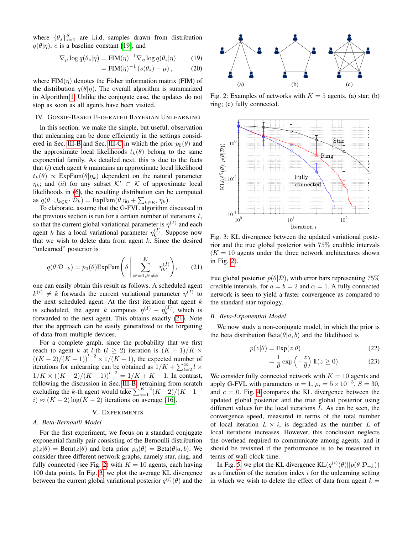where  $\{\theta_s\}_{s=1}^S$  are i.i.d. samples drawn from distribution  $q(\theta|\eta)$ , c is a baseline constant [\[19\]](#page-4-19), and

$$
\nabla_{\mu} \log q(\theta_s|\eta) = \text{FIM}(\eta)^{-1} \nabla_{\eta} \log q(\theta_s|\eta) \tag{19}
$$

$$
= \operatorname{FIM}(\eta)^{-1} \left( s(\theta_s) - \mu \right), \tag{20}
$$

where  $FIM(\eta)$  denotes the Fisher information matrix (FIM) of the distribution  $q(\theta|\eta)$ . The overall algorithm is summarized in Algorithm [1.](#page-2-1) Unlike the conjugate case, the updates do not stop as soon as all agents have been visited.

# <span id="page-3-0"></span>IV. GOSSIP-BASED FEDERATED BAYESIAN UNLEARNING

In this section, we make the simple, but useful, observation that unlearning can be done efficiently in the settings consid-ered in Sec. [III-B](#page-2-6) and Sec. [III-C](#page-2-7) in which the prior  $p_0(\theta)$  and the approximate local likelihoods  $t_k(\theta)$  belong to the same exponential family. As detailed next, this is due to the facts that  $(i)$  each agent  $k$  maintains an approximate local likelihood  $t_k(\theta) \propto \text{ExpFam}(\theta|\eta_k)$  dependent on the natural parameter  $\eta_k$ ; and (*ii*) for any subset  $\mathcal{K}' \subset \mathcal{K}$  of approximate local likelihoods in [\(6\)](#page-1-4), the resulting distribution can be computed as  $q(\theta | \cup_{k \in \mathcal{K}'} \mathcal{D}_k) = \text{ExpFam}(\theta | \eta_0 + \sum_{k \in K'} \eta_k).$ 

To elaborate, assume that the G-FVL algorithm discussed in the previous section is run for a certain number of iterations  $I$ , so that the current global variational parameter is  $\eta^{(I)}$  and each agent k has a local variational parameter  $\eta_k^{(I)}$  $k^{(1)}$ . Suppose now that we wish to delete data from agent  $k$ . Since the desired "unlearned" posterior is

<span id="page-3-2"></span>
$$
q(\theta|\mathcal{D}_{-k}) = p_0(\theta) \text{ExpFam}\left(\theta \middle| \sum_{k'=1, k'\neq k}^{K} \eta_{k'}^{(I)}\right), \qquad (21)
$$

one can easily obtain this result as follows. A scheduled agent  $k^{(i)} \neq k$  forwards the current variational parameter  $\eta^{(I)}$  to the next scheduled agent. At the first iteration that agent  $k$ is scheduled, the agent k computes  $\eta^{(I)} - \eta^{(I)}_k$  $\kappa^{(1)}$ , which is forwarded to the next agent. This obtains exactly [\(21\)](#page-3-2). Note that the approach can be easily generalized to the forgetting of data from multiple devices.

For a complete graph, since the probability that we first reach to agent k at l-th (l  $\geq$  2) iteration is  $(K-1)/K \times$  $((K-2)/(K-1))^{l-2} \times 1/(K-1)$ , the expected number of iterations for unlearning can be obtained as  $1/K + \sum_{l=2}^{\infty} l \times$  $1/K \times ((K-2)/(K-1))^{l-2} = 1/K + K - 1$ . In contrast, following the discussion in Sec. [III-B,](#page-2-6) retraining from scratch excluding the k-th agent would take  $\sum_{i=1}^{K-2} (K-2)/(K-1$  $i) \approx (K-2) \log(K-2)$  iterations on average [\[16\]](#page-4-16).

# V. EXPERIMENTS

# <span id="page-3-1"></span>*A. Beta-Bernoulli Model*

For the first experiment, we focus on a standard conjugate exponential family pair consisting of the Bernoulli distribution  $p(z|\theta) = \text{Bern}(z|\theta)$  and beta prior  $p_0(\theta) = \text{Beta}(\theta|a, b)$ . We consider three different network graphs, namely star, ring, and fully connected (see Fig. [2\)](#page-3-3) with  $K = 10$  agents, each having 100 data points. In Fig. [3,](#page-3-4) we plot the average KL divergence between the current global variational posterior  $q^{(i)}(\theta)$  and the

<span id="page-3-3"></span>

Fig. 2: Examples of networks with  $K = 5$  agents. (a) star; (b) ring; (c) fully connected.

<span id="page-3-4"></span>

Fig. 3: KL divergence between the updated variational posterior and the true global posterior with 75% credible intervals  $(K = 10$  agents under the three network architectures shown in Fig. [2\)](#page-3-3).

true global posterior  $p(\theta|\mathcal{D})$ , with error bars representing 75% credible intervals, for  $a = b = 2$  and  $\alpha = 1$ . A fully connected network is seen to yield a faster convergence as compared to the standard star topology.

#### *B. Beta-Exponential Model*

We now study a non-conjugate model, in which the prior is the beta distribution  $Beta(\theta|a, b)$  and the likelihood is

$$
p(z|\theta) = \text{Exp}(z|\theta) \tag{22}
$$

$$
= \frac{1}{\theta} \exp\left(-\frac{z}{\theta}\right) \mathbb{1}(z \ge 0). \tag{23}
$$

We consider fully connected network with  $K = 10$  agents and apply G-FVL with parameters  $\alpha = 1$ ,  $\rho_i = 5 \times 10^{-3}$ ,  $S = 30$ , and  $c = 0$ . Fig. [4](#page-4-20) compares the KL divergence between the updated global posterior and the true global posterior using different values for the local iterations L. As can be seen, the convergence speed, measured in terms of the total number of local iteration  $L \times i$ , is degraded as the number L of local iterations increases. However, this conclusion neglects the overhead required to communicate among agents, and it should be revisited if the performance is to be measured in terms of wall clock time.

In Fig. [5,](#page-4-21) we plot the KL divergence  $KL(q^{(i)}(\theta)||p(\theta|\mathcal{D}_{-k}))$ as a function of the iteration index  $i$  for the unlearning setting in which we wish to delete the effect of data from agent  $k =$